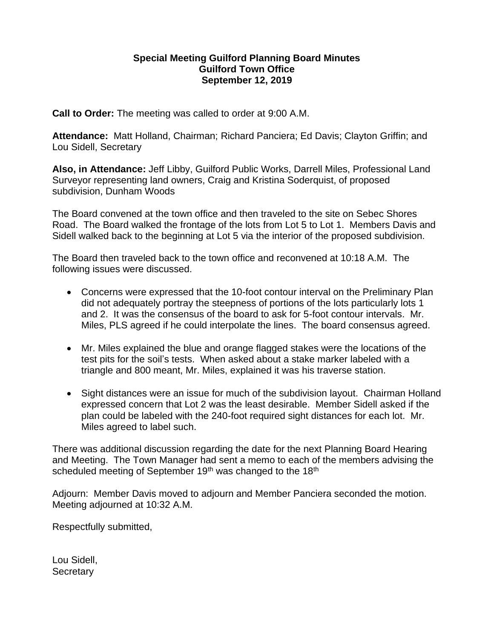## **Special Meeting Guilford Planning Board Minutes Guilford Town Office September 12, 2019**

**Call to Order:** The meeting was called to order at 9:00 A.M.

**Attendance:** Matt Holland, Chairman; Richard Panciera; Ed Davis; Clayton Griffin; and Lou Sidell, Secretary

**Also, in Attendance:** Jeff Libby, Guilford Public Works, Darrell Miles, Professional Land Surveyor representing land owners, Craig and Kristina Soderquist, of proposed subdivision, Dunham Woods

The Board convened at the town office and then traveled to the site on Sebec Shores Road. The Board walked the frontage of the lots from Lot 5 to Lot 1. Members Davis and Sidell walked back to the beginning at Lot 5 via the interior of the proposed subdivision.

The Board then traveled back to the town office and reconvened at 10:18 A.M. The following issues were discussed.

- Concerns were expressed that the 10-foot contour interval on the Preliminary Plan did not adequately portray the steepness of portions of the lots particularly lots 1 and 2. It was the consensus of the board to ask for 5-foot contour intervals. Mr. Miles, PLS agreed if he could interpolate the lines. The board consensus agreed.
- Mr. Miles explained the blue and orange flagged stakes were the locations of the test pits for the soil's tests. When asked about a stake marker labeled with a triangle and 800 meant, Mr. Miles, explained it was his traverse station.
- Sight distances were an issue for much of the subdivision layout. Chairman Holland expressed concern that Lot 2 was the least desirable. Member Sidell asked if the plan could be labeled with the 240-foot required sight distances for each lot. Mr. Miles agreed to label such.

There was additional discussion regarding the date for the next Planning Board Hearing and Meeting. The Town Manager had sent a memo to each of the members advising the scheduled meeting of September 19<sup>th</sup> was changed to the 18<sup>th</sup>

Adjourn: Member Davis moved to adjourn and Member Panciera seconded the motion. Meeting adjourned at 10:32 A.M.

Respectfully submitted,

Lou Sidell, **Secretary**